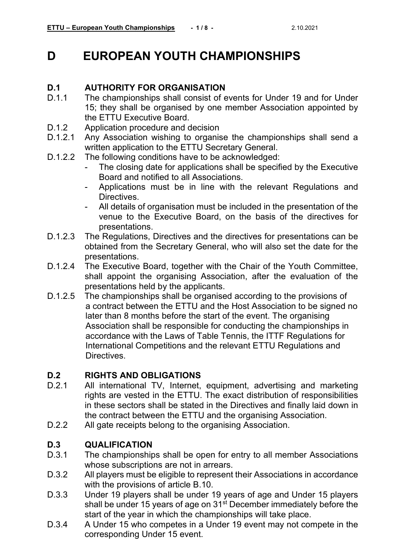#### **D EUROPEAN YOUTH CHAMPIONSHIPS**

### **D.1 AUTHORITY FOR ORGANISATION**<br>D.1.1 The championships shall consist of e

- The championships shall consist of events for Under 19 and for Under 15; they shall be organised by one member Association appointed by the ETTU Executive Board.
- D.1.2 Application procedure and decision<br>D.1.2.1 Any Association wishing to organis
- Any Association wishing to organise the championships shall send a written application to the ETTU Secretary General.
- D.1.2.2 The following conditions have to be acknowledged:
	- The closing date for applications shall be specified by the Executive Board and notified to all Associations.
	- Applications must be in line with the relevant Regulations and Directives.
	- All details of organisation must be included in the presentation of the venue to the Executive Board, on the basis of the directives for presentations.
- D.1.2.3 The Regulations, Directives and the directives for presentations can be obtained from the Secretary General, who will also set the date for the presentations.
- D.1.2.4 The Executive Board, together with the Chair of the Youth Committee, shall appoint the organising Association, after the evaluation of the presentations held by the applicants.
- D.1.2.5 The championships shall be organised according to the provisions of a contract between the ETTU and the Host Association to be signed no later than 8 months before the start of the event. The organising Association shall be responsible for conducting the championships in accordance with the Laws of Table Tennis, the ITTF Regulations for International Competitions and the relevant ETTU Regulations and Directives.

#### **D.2 RIGHTS AND OBLIGATIONS**

- All international TV, Internet, equipment, advertising and marketing rights are vested in the ETTU. The exact distribution of responsibilities in these sectors shall be stated in the Directives and finally laid down in the contract between the ETTU and the organising Association.
- D.2.2 All gate receipts belong to the organising Association.

#### **D.3 QUALIFICATION**

- The championships shall be open for entry to all member Associations whose subscriptions are not in arrears.
- D.3.2 All players must be eligible to represent their Associations in accordance with the provisions of article B.10.
- D.3.3 Under 19 players shall be under 19 years of age and Under 15 players shall be under 15 years of age on 31<sup>st</sup> December immediately before the start of the year in which the championships will take place.
- D.3.4 A Under 15 who competes in a Under 19 event may not compete in the corresponding Under 15 event.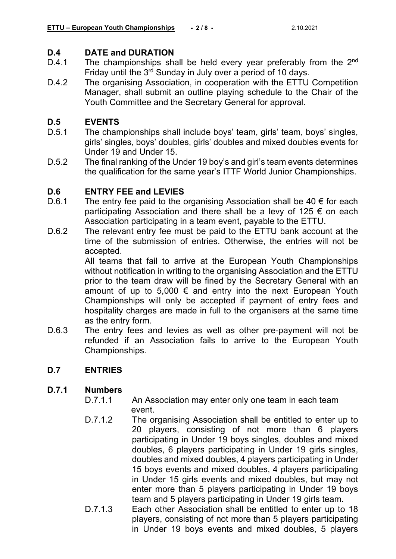### **D.4 DATE and DURATION**<br>D.4.1 The championships sha

- The championships shall be held every year preferably from the 2<sup>nd</sup> Friday until the 3<sup>rd</sup> Sunday in July over a period of 10 days.
- D.4.2 The organising Association, in cooperation with the ETTU Competition Manager, shall submit an outline playing schedule to the Chair of the Youth Committee and the Secretary General for approval.

## **D.5 EVENTS**

- The championships shall include boys' team, girls' team, boys' singles, girls' singles, boys' doubles, girls' doubles and mixed doubles events for Under 19 and Under 15.
- D.5.2 The final ranking of the Under 19 boy's and girl's team events determines the qualification for the same year's ITTF World Junior Championships.

### **D.6 ENTRY FEE and LEVIES**

- The entry fee paid to the organising Association shall be 40  $\epsilon$  for each participating Association and there shall be a levy of 125  $\epsilon$  on each Association participating in a team event, payable to the ETTU.
- D.6.2 The relevant entry fee must be paid to the ETTU bank account at the time of the submission of entries. Otherwise, the entries will not be accepted.

All teams that fail to arrive at the European Youth Championships without notification in writing to the organising Association and the ETTU prior to the team draw will be fined by the Secretary General with an amount of up to 5,000 € and entry into the next European Youth Championships will only be accepted if payment of entry fees and hospitality charges are made in full to the organisers at the same time as the entry form.

D.6.3 The entry fees and levies as well as other pre-payment will not be refunded if an Association fails to arrive to the European Youth Championships.

#### **D.7 ENTRIES**

#### **D.7.1 Numbers**

- D.7.1.1 An Association may enter only one team in each team event.
- D.7.1.2 The organising Association shall be entitled to enter up to 20 players, consisting of not more than 6 players participating in Under 19 boys singles, doubles and mixed doubles, 6 players participating in Under 19 girls singles, doubles and mixed doubles, 4 players participating in Under 15 boys events and mixed doubles, 4 players participating in Under 15 girls events and mixed doubles, but may not enter more than 5 players participating in Under 19 boys team and 5 players participating in Under 19 girls team.
- D.7.1.3 Each other Association shall be entitled to enter up to 18 players, consisting of not more than 5 players participating in Under 19 boys events and mixed doubles, 5 players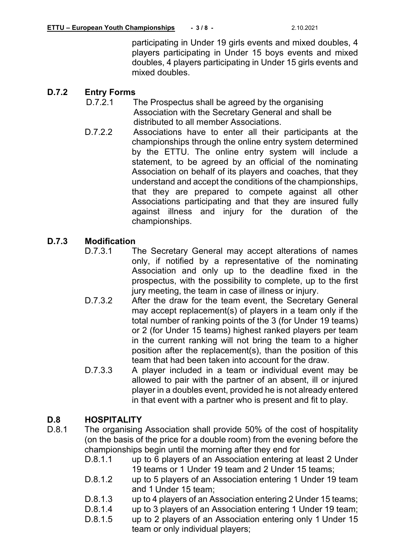participating in Under 19 girls events and mixed doubles, 4 players participating in Under 15 boys events and mixed doubles, 4 players participating in Under 15 girls events and mixed doubles.

### **D.7.2 Entry Forms**

- The Prospectus shall be agreed by the organising Association with the Secretary General and shall be distributed to all member Associations.
- D.7.2.2 Associations have to enter all their participants at the championships through the online entry system determined by the ETTU. The online entry system will include a statement, to be agreed by an official of the nominating Association on behalf of its players and coaches, that they understand and accept the conditions of the championships, that they are prepared to compete against all other Associations participating and that they are insured fully against illness and injury for the duration of the championships.

## **D.7.3 Modification**

- The Secretary General may accept alterations of names only, if notified by a representative of the nominating Association and only up to the deadline fixed in the prospectus, with the possibility to complete, up to the first jury meeting, the team in case of illness or injury.
- D.7.3.2 After the draw for the team event, the Secretary General may accept replacement(s) of players in a team only if the total number of ranking points of the 3 (for Under 19 teams) or 2 (for Under 15 teams) highest ranked players per team in the current ranking will not bring the team to a higher position after the replacement(s), than the position of this team that had been taken into account for the draw.
- D.7.3.3 A player included in a team or individual event may be allowed to pair with the partner of an absent, ill or injured player in a doubles event, provided he is not already entered in that event with a partner who is present and fit to play.

#### **D.8 HOSPITALITY**

- D.8.1 The organising Association shall provide 50% of the cost of hospitality (on the basis of the price for a double room) from the evening before the championships begin until the morning after they end for
	- D.8.1.1 up to 6 players of an Association entering at least 2 Under 19 teams or 1 Under 19 team and 2 Under 15 teams;
	- D.8.1.2 up to 5 players of an Association entering 1 Under 19 team and 1 Under 15 team;
	- D.8.1.3 up to 4 players of an Association entering 2 Under 15 teams;
	- D.8.1.4 up to 3 players of an Association entering 1 Under 19 team;
	- D.8.1.5 up to 2 players of an Association entering only 1 Under 15 team or only individual players;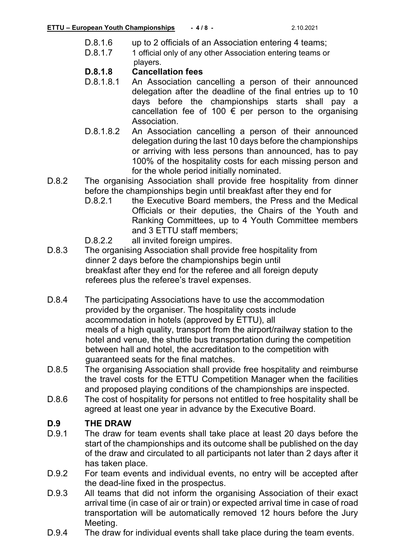- D.8.1.6 up to 2 officials of an Association entering 4 teams;
- D.8.1.7 1 official only of any other Association entering teams or players.

### **D.8.1.8 Cancellation fees**

- An Association cancelling a person of their announced delegation after the deadline of the final entries up to 10 days before the championships starts shall pay a cancellation fee of 100  $\epsilon$  per person to the organising Association.
- D.8.1.8.2 An Association cancelling a person of their announced delegation during the last 10 days before the championships or arriving with less persons than announced, has to pay 100% of the hospitality costs for each missing person and for the whole period initially nominated.
- D.8.2 The organising Association shall provide free hospitality from dinner before the championships begin until breakfast after they end for<br>D.8.2.1 the Executive Board members, the Press and the N
	- the Executive Board members, the Press and the Medical Officials or their deputies, the Chairs of the Youth and Ranking Committees, up to 4 Youth Committee members and 3 ETTU staff members;
	- D.8.2.2 all invited foreign umpires.
- D.8.3 The organising Association shall provide free hospitality from dinner 2 days before the championships begin until breakfast after they end for the referee and all foreign deputy referees plus the referee's travel expenses.
- D.8.4 The participating Associations have to use the accommodation provided by the organiser. The hospitality costs include accommodation in hotels (approved by ETTU), all meals of a high quality, transport from the airport/railway station to the hotel and venue, the shuttle bus transportation during the competition between hall and hotel, the accreditation to the competition with guaranteed seats for the final matches.
- D.8.5 The organising Association shall provide free hospitality and reimburse the travel costs for the ETTU Competition Manager when the facilities and proposed playing conditions of the championships are inspected.
- D.8.6 The cost of hospitality for persons not entitled to free hospitality shall be agreed at least one year in advance by the Executive Board.

### **D.9.1 THE DRAW**<br>D.9.1 The draw for

- The draw for team events shall take place at least 20 days before the start of the championships and its outcome shall be published on the day of the draw and circulated to all participants not later than 2 days after it has taken place.
- D.9.2 For team events and individual events, no entry will be accepted after the dead-line fixed in the prospectus.
- D.9.3 All teams that did not inform the organising Association of their exact arrival time (in case of air or train) or expected arrival time in case of road transportation will be automatically removed 12 hours before the Jury Meeting.
- D.9.4 The draw for individual events shall take place during the team events.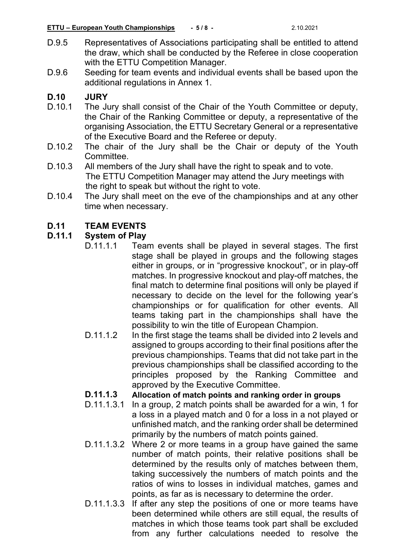- D.9.5 Representatives of Associations participating shall be entitled to attend the draw, which shall be conducted by the Referee in close cooperation with the ETTU Competition Manager.
- D.9.6 Seeding for team events and individual events shall be based upon the additional regulations in Annex 1.

## **D.10 JURY**

- The Jury shall consist of the Chair of the Youth Committee or deputy, the Chair of the Ranking Committee or deputy, a representative of the organising Association, the ETTU Secretary General or a representative of the Executive Board and the Referee or deputy.
- D.10.2 The chair of the Jury shall be the Chair or deputy of the Youth Committee.
- D.10.3 All members of the Jury shall have the right to speak and to vote. The ETTU Competition Manager may attend the Jury meetings with the right to speak but without the right to vote.
- D.10.4 The Jury shall meet on the eve of the championships and at any other time when necessary.

# **D.11 TEAM EVENTS**

#### **D.11.1 System of Play**

- D.11.1.1 Team events shall be played in several stages. The first stage shall be played in groups and the following stages either in groups, or in "progressive knockout", or in play-off matches. In progressive knockout and play-off matches, the final match to determine final positions will only be played if necessary to decide on the level for the following year's championships or for qualification for other events. All teams taking part in the championships shall have the possibility to win the title of European Champion.
- D.11.1.2 In the first stage the teams shall be divided into 2 levels and assigned to groups according to their final positions after the previous championships. Teams that did not take part in the previous championships shall be classified according to the principles proposed by the Ranking Committee and approved by the Executive Committee.

#### **D.11.1.3 Allocation of match points and ranking order in groups**

- D.11.1.3.1 In a group, 2 match points shall be awarded for a win, 1 for a loss in a played match and 0 for a loss in a not played or unfinished match, and the ranking order shall be determined primarily by the numbers of match points gained.
- D.11.1.3.2 Where 2 or more teams in a group have gained the same number of match points, their relative positions shall be determined by the results only of matches between them, taking successively the numbers of match points and the ratios of wins to losses in individual matches, games and points, as far as is necessary to determine the order.
- D.11.1.3.3 If after any step the positions of one or more teams have been determined while others are still equal, the results of matches in which those teams took part shall be excluded from any further calculations needed to resolve the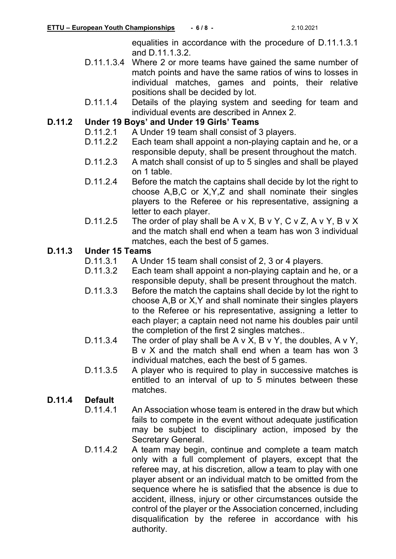equalities in accordance with the procedure of D.11.1.3.1 and D.11.1.3.2.

- D.11.1.3.4 Where 2 or more teams have gained the same number of match points and have the same ratios of wins to losses in individual matches, games and points, their relative positions shall be decided by lot.
- D.11.1.4 Details of the playing system and seeding for team and individual events are described in Annex 2.

## **D.11.2 Under 19 Boys' and Under 19 Girls' Teams**

- D.11.2.1 A Under 19 team shall consist of 3 players.<br>D.11.2.2 Each team shall appoint a non-playing capt
- Each team shall appoint a non-playing captain and he, or a responsible deputy, shall be present throughout the match.
- D.11.2.3 A match shall consist of up to 5 singles and shall be played on 1 table.
- D.11.2.4 Before the match the captains shall decide by lot the right to choose A,B,C or X,Y,Z and shall nominate their singles players to the Referee or his representative, assigning a letter to each player.
- D.11.2.5 The order of play shall be A v X, B v Y, C v Z, A v Y, B v X and the match shall end when a team has won 3 individual matches, each the best of 5 games.

### **D.11.3 Under 15 Teams**

- A Under 15 team shall consist of 2, 3 or 4 players.
- D.11.3.2 Each team shall appoint a non-playing captain and he, or a responsible deputy, shall be present throughout the match.
- D.11.3.3 Before the match the captains shall decide by lot the right to choose A,B or X,Y and shall nominate their singles players to the Referee or his representative, assigning a letter to each player; a captain need not name his doubles pair until the completion of the first 2 singles matches..
- D.11.3.4 The order of play shall be  $A \vee X$ , B  $\vee Y$ , the doubles, A  $\vee Y$ , B v X and the match shall end when a team has won 3 individual matches, each the best of 5 games.
- D.11.3.5 A player who is required to play in successive matches is entitled to an interval of up to 5 minutes between these matches.

#### **D.11.4 Default**

- D.11.4.1 An Association whose team is entered in the draw but which fails to compete in the event without adequate justification may be subject to disciplinary action, imposed by the Secretary General.
- D.11.4.2 A team may begin, continue and complete a team match only with a full complement of players, except that the referee may, at his discretion, allow a team to play with one player absent or an individual match to be omitted from the sequence where he is satisfied that the absence is due to accident, illness, injury or other circumstances outside the control of the player or the Association concerned, including disqualification by the referee in accordance with his authority.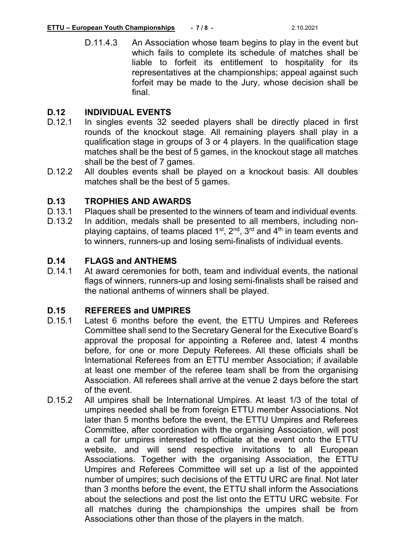D.11.4.3 An Association whose team begins to play in the event but which fails to complete its schedule of matches shall be liable to forfeit its entitlement to hospitality for its representatives at the championships; appeal against such forfeit may be made to the Jury, whose decision shall be final.

## **D.12 INDIVIDUAL EVENTS**

- In singles events 32 seeded players shall be directly placed in first rounds of the knockout stage. All remaining players shall play in a qualification stage in groups of 3 or 4 players. In the qualification stage matches shall be the best of 5 games, in the knockout stage all matches shall be the best of 7 games.
- D.12.2 All doubles events shall be played on a knockout basis. All doubles matches shall be the best of 5 games.

#### **D.13 TROPHIES AND AWARDS**

- D.13.1 Plaques shall be presented to the winners of team and individual events.
- D.13.2 In addition, medals shall be presented to all members, including nonplaying captains, of teams placed  $1^{st}$ ,  $2^{nd}$ ,  $3^{rd}$  and  $4^{th}$  in team events and to winners, runners-up and losing semi-finalists of individual events.

#### **D.14 FLAGS and ANTHEMS**

D.14.1 At award ceremonies for both, team and individual events, the national flags of winners, runners-up and losing semi-finalists shall be raised and the national anthems of winners shall be played.

## **D.15 REFEREES and UMPIRES**

- Latest 6 months before the event, the ETTU Umpires and Referees Committee shall send to the Secretary General for the Executive Board's approval the proposal for appointing a Referee and, latest 4 months before, for one or more Deputy Referees. All these officials shall be International Referees from an ETTU member Association; if available at least one member of the referee team shall be from the organising Association. All referees shall arrive at the venue 2 days before the start of the event.
- D.15.2 All umpires shall be International Umpires. At least 1/3 of the total of umpires needed shall be from foreign ETTU member Associations. Not later than 5 months before the event, the ETTU Umpires and Referees Committee, after coordination with the organising Association, will post a call for umpires interested to officiate at the event onto the ETTU website, and will send respective invitations to all European Associations. Together with the organising Association, the ETTU Umpires and Referees Committee will set up a list of the appointed number of umpires; such decisions of the ETTU URC are final. Not later than 3 months before the event, the ETTU shall inform the Associations about the selections and post the list onto the ETTU URC website. For all matches during the championships the umpires shall be from Associations other than those of the players in the match.